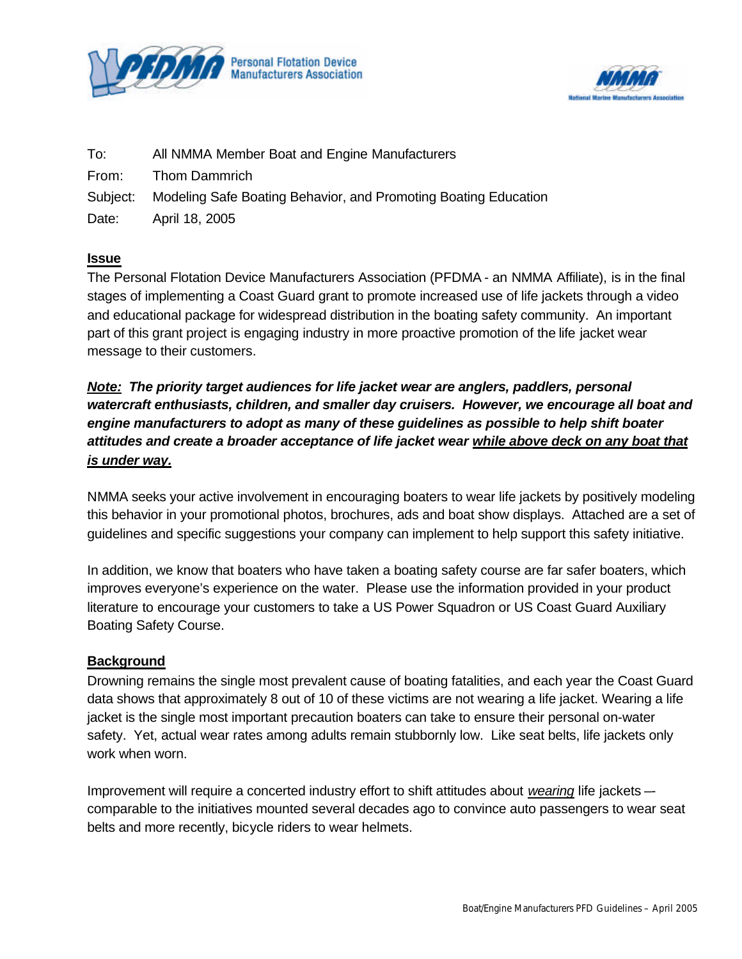



| To:   | All NMMA Member Boat and Engine Manufacturers                            |
|-------|--------------------------------------------------------------------------|
| From: | <b>Thom Dammrich</b>                                                     |
|       | Subject: Modeling Safe Boating Behavior, and Promoting Boating Education |
| Date: | April 18, 2005                                                           |

#### **Issue**

The Personal Flotation Device Manufacturers Association (PFDMA - an NMMA Affiliate), is in the final stages of implementing a Coast Guard grant to promote increased use of life jackets through a video and educational package for widespread distribution in the boating safety community. An important part of this grant project is engaging industry in more proactive promotion of the life jacket wear message to their customers.

*Note: The priority target audiences for life jacket wear are anglers, paddlers, personal watercraft enthusiasts, children, and smaller day cruisers. However, we encourage all boat and engine manufacturers to adopt as many of these guidelines as possible to help shift boater attitudes and create a broader acceptance of life jacket wear while above deck on any boat that is under way.*

NMMA seeks your active involvement in encouraging boaters to wear life jackets by positively modeling this behavior in your promotional photos, brochures, ads and boat show displays. Attached are a set of guidelines and specific suggestions your company can implement to help support this safety initiative.

In addition, we know that boaters who have taken a boating safety course are far safer boaters, which improves everyone's experience on the water. Please use the information provided in your product literature to encourage your customers to take a US Power Squadron or US Coast Guard Auxiliary Boating Safety Course.

#### **Background**

Drowning remains the single most prevalent cause of boating fatalities, and each year the Coast Guard data shows that approximately 8 out of 10 of these victims are not wearing a life jacket. Wearing a life jacket is the single most important precaution boaters can take to ensure their personal on-water safety. Yet, actual wear rates among adults remain stubbornly low. Like seat belts, life jackets only work when worn.

Improvement will require a concerted industry effort to shift attitudes about *wearing* life jackets – comparable to the initiatives mounted several decades ago to convince auto passengers to wear seat belts and more recently, bicycle riders to wear helmets.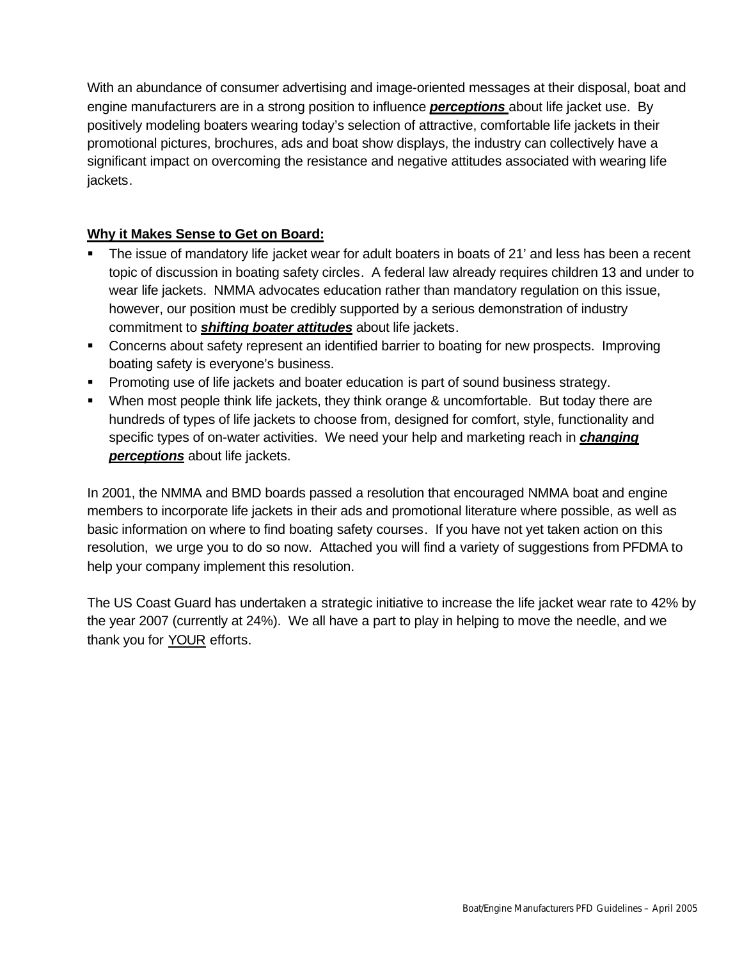With an abundance of consumer advertising and image-oriented messages at their disposal, boat and engine manufacturers are in a strong position to influence *perceptions* about life jacket use. By positively modeling boaters wearing today's selection of attractive, comfortable life jackets in their promotional pictures, brochures, ads and boat show displays, the industry can collectively have a significant impact on overcoming the resistance and negative attitudes associated with wearing life jackets.

### **Why it Makes Sense to Get on Board:**

- The issue of mandatory life jacket wear for adult boaters in boats of 21' and less has been a recent topic of discussion in boating safety circles. A federal law already requires children 13 and under to wear life jackets. NMMA advocates education rather than mandatory regulation on this issue, however, our position must be credibly supported by a serious demonstration of industry commitment to *shifting boater attitudes* about life jackets.
- **Concerns about safety represent an identified barrier to boating for new prospects. Improving** boating safety is everyone's business.
- **Promoting use of life jackets and boater education is part of sound business strategy.**
- When most people think life jackets, they think orange & uncomfortable. But today there are hundreds of types of life jackets to choose from, designed for comfort, style, functionality and specific types of on-water activities. We need your help and marketing reach in *changing perceptions* about life jackets.

In 2001, the NMMA and BMD boards passed a resolution that encouraged NMMA boat and engine members to incorporate life jackets in their ads and promotional literature where possible, as well as basic information on where to find boating safety courses. If you have not yet taken action on this resolution, we urge you to do so now. Attached you will find a variety of suggestions from PFDMA to help your company implement this resolution.

The US Coast Guard has undertaken a strategic initiative to increase the life jacket wear rate to 42% by the year 2007 (currently at 24%). We all have a part to play in helping to move the needle, and we thank you for YOUR efforts.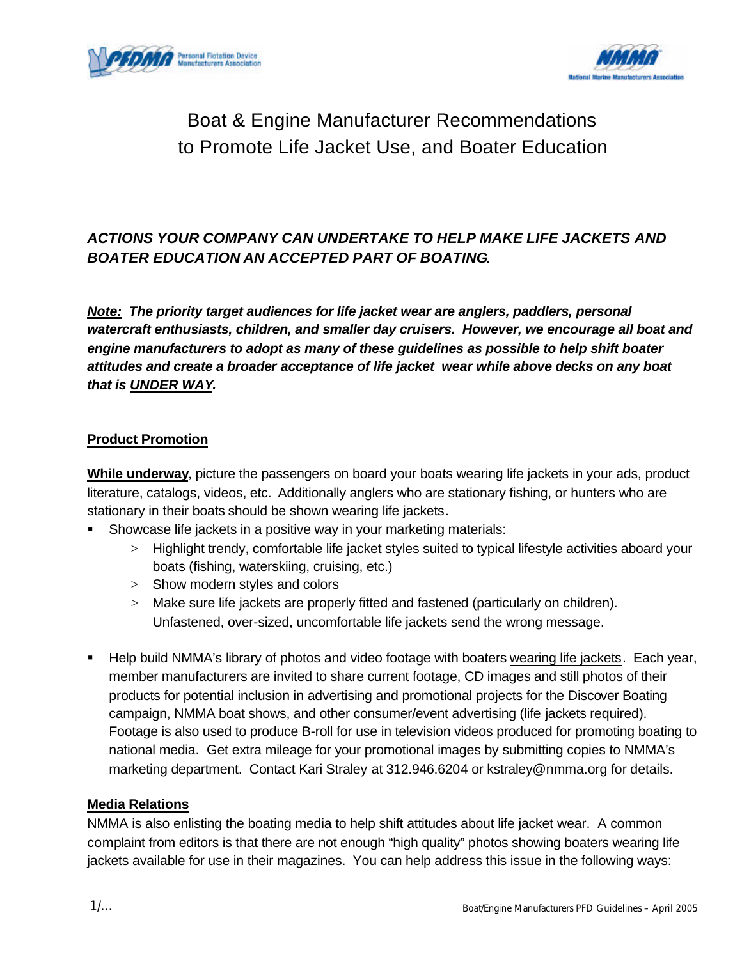



# Boat & Engine Manufacturer Recommendations to Promote Life Jacket Use, and Boater Education

# *ACTIONS YOUR COMPANY CAN UNDERTAKE TO HELP MAKE LIFE JACKETS AND BOATER EDUCATION AN ACCEPTED PART OF BOATING.*

*Note: The priority target audiences for life jacket wear are anglers, paddlers, personal watercraft enthusiasts, children, and smaller day cruisers. However, we encourage all boat and engine manufacturers to adopt as many of these guidelines as possible to help shift boater attitudes and create a broader acceptance of life jacket wear while above decks on any boat that is UNDER WAY.*

#### **Product Promotion**

**While underway**, picture the passengers on board your boats wearing life jackets in your ads, product literature, catalogs, videos, etc. Additionally anglers who are stationary fishing, or hunters who are stationary in their boats should be shown wearing life jackets.

- ß Showcase life jackets in a positive way in your marketing materials:
	- > Highlight trendy, comfortable life jacket styles suited to typical lifestyle activities aboard your boats (fishing, waterskiing, cruising, etc.)
	- > Show modern styles and colors
	- > Make sure life jackets are properly fitted and fastened (particularly on children). Unfastened, over-sized, uncomfortable life jackets send the wrong message.
- **Help build NMMA's library of photos and video footage with boaters wearing life jackets. Each year,** member manufacturers are invited to share current footage, CD images and still photos of their products for potential inclusion in advertising and promotional projects for the Discover Boating campaign, NMMA boat shows, and other consumer/event advertising (life jackets required). Footage is also used to produce B-roll for use in television videos produced for promoting boating to national media. Get extra mileage for your promotional images by submitting copies to NMMA's marketing department. Contact Kari Straley at 312.946.6204 or kstraley@nmma.org for details.

#### **Media Relations**

NMMA is also enlisting the boating media to help shift attitudes about life jacket wear. A common complaint from editors is that there are not enough "high quality" photos showing boaters wearing life jackets available for use in their magazines. You can help address this issue in the following ways: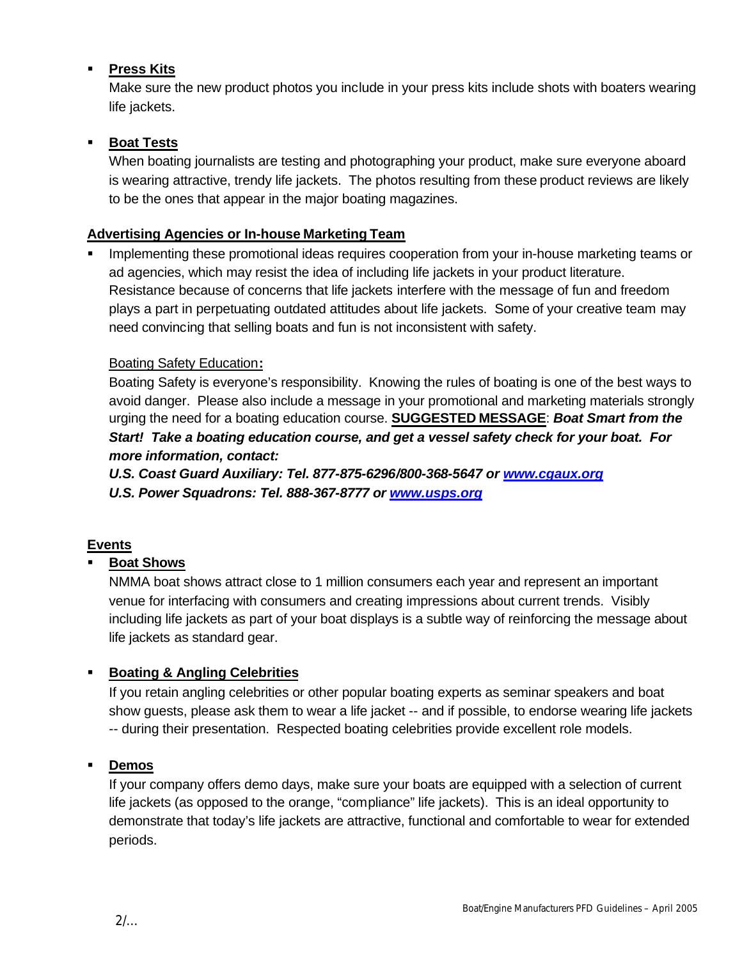# ß **Press Kits**

Make sure the new product photos you include in your press kits include shots with boaters wearing life jackets.

### ß **Boat Tests**

When boating journalists are testing and photographing your product, make sure everyone aboard is wearing attractive, trendy life jackets. The photos resulting from these product reviews are likely to be the ones that appear in the major boating magazines.

### **Advertising Agencies or In-house Marketing Team**

ß Implementing these promotional ideas requires cooperation from your in-house marketing teams or ad agencies, which may resist the idea of including life jackets in your product literature. Resistance because of concerns that life jackets interfere with the message of fun and freedom plays a part in perpetuating outdated attitudes about life jackets. Some of your creative team may need convincing that selling boats and fun is not inconsistent with safety.

#### Boating Safety Education**:**

Boating Safety is everyone's responsibility. Knowing the rules of boating is one of the best ways to avoid danger. Please also include a message in your promotional and marketing materials strongly urging the need for a boating education course. **SUGGESTED MESSAGE**: *Boat Smart from the Start! Take a boating education course, and get a vessel safety check for your boat. For more information, contact:*

*U.S. Coast Guard Auxiliary: Tel. 877-875-6296/800-368-5647 or www.cgaux.org U.S. Power Squadrons: Tel. 888-367-8777 or www.usps.org*

#### **Events**

# ß **Boat Shows**

NMMA boat shows attract close to 1 million consumers each year and represent an important venue for interfacing with consumers and creating impressions about current trends. Visibly including life jackets as part of your boat displays is a subtle way of reinforcing the message about life jackets as standard gear.

# ß **Boating & Angling Celebrities**

If you retain angling celebrities or other popular boating experts as seminar speakers and boat show guests, please ask them to wear a life jacket -- and if possible, to endorse wearing life jackets -- during their presentation. Respected boating celebrities provide excellent role models.

#### ß **Demos**

If your company offers demo days, make sure your boats are equipped with a selection of current life jackets (as opposed to the orange, "compliance" life jackets). This is an ideal opportunity to demonstrate that today's life jackets are attractive, functional and comfortable to wear for extended periods.